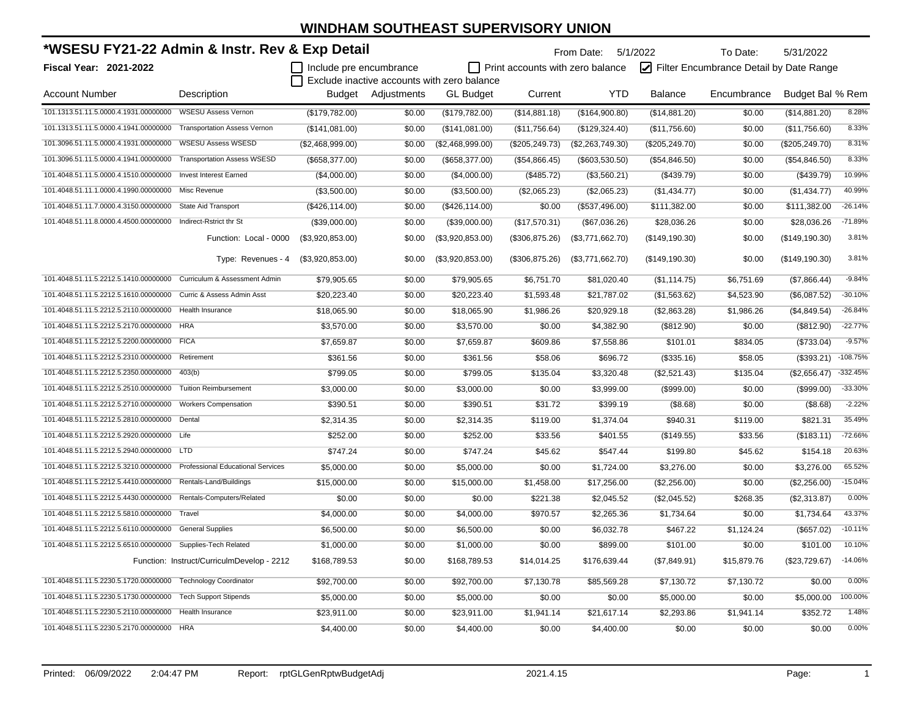| *WSESU FY21-22 Admin & Instr. Rev & Exp Detail               |                                            |                         |             |                                             |                                         | From Date: 5/1/2022<br>To Date: |                                         | 5/31/2022   |                  |            |
|--------------------------------------------------------------|--------------------------------------------|-------------------------|-------------|---------------------------------------------|-----------------------------------------|---------------------------------|-----------------------------------------|-------------|------------------|------------|
| Fiscal Year: 2021-2022                                       |                                            | Include pre encumbrance |             |                                             | $\Box$ Print accounts with zero balance |                                 | Filter Encumbrance Detail by Date Range |             |                  |            |
|                                                              |                                            |                         |             | Exclude inactive accounts with zero balance |                                         |                                 |                                         |             |                  |            |
| <b>Account Number</b>                                        | Description                                | Budget                  | Adjustments | <b>GL Budget</b>                            | Current                                 | <b>YTD</b>                      | <b>Balance</b>                          | Encumbrance | Budget Bal % Rem |            |
| 101.1313.51.11.5.0000.4.1931.00000000                        | <b>WSESU Assess Vernon</b>                 | (\$179,782.00)          | \$0.00      | (\$179,782.00)                              | (\$14,881.18)                           | (\$164,900.80)                  | (\$14,881.20)                           | \$0.00      | (\$14,881.20)    | 8.28%      |
| 101.1313.51.11.5.0000.4.1941.00000000                        | <b>Transportation Assess Vernon</b>        | (\$141,081.00)          | \$0.00      | (\$141,081.00)                              | (\$11,756.64)                           | (\$129,324.40)                  | (\$11,756.60)                           | \$0.00      | (\$11,756.60)    | 8.33%      |
| 101.3096.51.11.5.0000.4.1931.00000000                        | <b>WSESU Assess WSESD</b>                  | (\$2,468,999.00)        | \$0.00      | (\$2,468,999.00)                            | (\$205, 249.73)                         | $($ \$2,263,749.30)             | (\$205, 249.70)                         | \$0.00      | (\$205, 249.70)  | 8.31%      |
| 101.3096.51.11.5.0000.4.1941.00000000                        | <b>Transportation Assess WSESD</b>         | (\$658,377.00)          | \$0.00      | (\$658,377.00)                              | (\$54,866.45)                           | (\$603,530.50)                  | (\$54,846.50)                           | \$0.00      | (\$54,846.50)    | 8.33%      |
| 101.4048.51.11.5.0000.4.1510.00000000                        | <b>Invest Interest Earned</b>              | (\$4,000.00)            | \$0.00      | (\$4,000.00)                                | (\$485.72)                              | (\$3,560.21)                    | (\$439.79)                              | \$0.00      | (\$439.79)       | 10.99%     |
| 101.4048.51.11.1.0000.4.1990.00000000                        | Misc Revenue                               | (\$3,500.00)            | \$0.00      | (\$3,500.00)                                | (\$2,065.23)                            | (\$2,065.23)                    | (\$1,434.77)                            | \$0.00      | (\$1,434.77)     | 40.99%     |
| 101.4048.51.11.7.0000.4.3150.00000000                        | <b>State Aid Transport</b>                 | (\$426, 114.00)         | \$0.00      | (\$426, 114.00)                             | \$0.00                                  | (\$537,496.00)                  | \$111,382.00                            | \$0.00      | \$111,382.00     | $-26.14%$  |
| 101.4048.51.11.8.0000.4.4500.00000000                        | Indirect-Rstrict thr St                    | (\$39,000.00)           | \$0.00      | (\$39,000.00)                               | (\$17,570.31)                           | (\$67,036.26)                   | \$28,036.26                             | \$0.00      | \$28,036.26      | $-71.89%$  |
|                                                              | Function: Local - 0000                     | (\$3,920,853.00)        | \$0.00      | (\$3,920,853.00)                            | (\$306, 875.26)                         | (\$3,771,662.70)                | (\$149, 190.30)                         | \$0.00      | (\$149, 190.30)  | 3.81%      |
|                                                              | Type: Revenues - 4                         | (\$3,920,853.00)        | \$0.00      | (\$3,920,853.00)                            | (\$306,875.26)                          | (\$3,771,662.70)                | (\$149, 190.30)                         | \$0.00      | (\$149, 190.30)  | 3.81%      |
| 101.4048.51.11.5.2212.5.1410.00000000                        | Curriculum & Assessment Admin              | \$79,905.65             | \$0.00      | \$79,905.65                                 | \$6,751.70                              | \$81,020.40                     | (\$1,114.75)                            | \$6,751.69  | (\$7,866.44)     | $-9.84%$   |
| 101.4048.51.11.5.2212.5.1610.00000000                        | Curric & Assess Admin Asst                 | \$20,223.40             | \$0.00      | \$20,223.40                                 | \$1,593.48                              | \$21,787.02                     | (\$1,563.62)                            | \$4,523.90  | (\$6,087.52)     | $-30.10%$  |
| 101.4048.51.11.5.2212.5.2110.00000000                        | Health Insurance                           | \$18,065.90             | \$0.00      | \$18,065.90                                 | \$1,986.26                              | \$20,929.18                     | (\$2,863.28)                            | \$1,986.26  | (\$4,849.54)     | $-26.84%$  |
| 101.4048.51.11.5.2212.5.2170.00000000                        | <b>HRA</b>                                 | \$3,570.00              | \$0.00      | \$3,570.00                                  | \$0.00                                  | \$4,382.90                      | (\$812.90)                              | \$0.00      | (\$812.90)       | $-22.77%$  |
| 101.4048.51.11.5.2212.5.2200.00000000                        | <b>FICA</b>                                | \$7,659.87              | \$0.00      | \$7,659.87                                  | \$609.86                                | \$7,558.86                      | \$101.01                                | \$834.05    | (\$733.04)       | $-9.57%$   |
| 101.4048.51.11.5.2212.5.2310.00000000                        | Retirement                                 | \$361.56                | \$0.00      | \$361.56                                    | \$58.06                                 | \$696.72                        | (\$335.16)                              | \$58.05     | (\$393.21)       | $-108.75%$ |
| 101.4048.51.11.5.2212.5.2350.00000000                        | 403(b)                                     | \$799.05                | \$0.00      | \$799.05                                    | \$135.04                                | \$3,320.48                      | (\$2,521.43)                            | \$135.04    | (\$2,656.47)     | $-332.45%$ |
| 101.4048.51.11.5.2212.5.2510.00000000                        | <b>Tuition Reimbursement</b>               | \$3,000.00              | \$0.00      | \$3,000.00                                  | \$0.00                                  | \$3,999.00                      | (\$999.00)                              | \$0.00      | (\$999.00)       | $-33.30%$  |
| 101.4048.51.11.5.2212.5.2710.00000000                        | <b>Workers Compensation</b>                | \$390.51                | \$0.00      | \$390.51                                    | \$31.72                                 | \$399.19                        | (\$8.68)                                | \$0.00      | (\$8.68)         | $-2.22%$   |
| 101.4048.51.11.5.2212.5.2810.00000000                        | Dental                                     | \$2,314.35              | \$0.00      | \$2,314.35                                  | \$119.00                                | \$1,374.04                      | \$940.31                                | \$119.00    | \$821.31         | 35.49%     |
| 101.4048.51.11.5.2212.5.2920.00000000                        | Life                                       | \$252.00                | \$0.00      | \$252.00                                    | \$33.56                                 | \$401.55                        | (\$149.55)                              | \$33.56     | (\$183.11)       | $-72.66%$  |
| 101.4048.51.11.5.2212.5.2940.00000000 LTD                    |                                            | \$747.24                | \$0.00      | \$747.24                                    | \$45.62                                 | \$547.44                        | \$199.80                                | \$45.62     | \$154.18         | 20.63%     |
| 101.4048.51.11.5.2212.5.3210.00000000                        | <b>Professional Educational Services</b>   | \$5,000.00              | \$0.00      | \$5,000.00                                  | \$0.00                                  | \$1,724.00                      | \$3,276.00                              | \$0.00      | \$3,276.00       | 65.52%     |
| 101.4048.51.11.5.2212.5.4410.00000000                        | Rentals-Land/Buildings                     | \$15,000.00             | \$0.00      | \$15,000.00                                 | \$1,458.00                              | \$17,256.00                     | (\$2,256.00)                            | \$0.00      | (\$2,256.00)     | $-15.04%$  |
| 101.4048.51.11.5.2212.5.4430.00000000                        | Rentals-Computers/Related                  | \$0.00                  | \$0.00      | \$0.00                                      | \$221.38                                | \$2,045.52                      | (\$2,045.52)                            | \$268.35    | (\$2,313.87)     | 0.00%      |
| 101.4048.51.11.5.2212.5.5810.00000000                        | Travel                                     | \$4,000.00              | \$0.00      | \$4,000.00                                  | \$970.57                                | \$2,265.36                      | \$1,734.64                              | \$0.00      | \$1,734.64       | 43.37%     |
| 101.4048.51.11.5.2212.5.6110.00000000                        | <b>General Supplies</b>                    | \$6,500.00              | \$0.00      | \$6,500.00                                  | \$0.00                                  | \$6,032.78                      | \$467.22                                | \$1,124.24  | (\$657.02)       | $-10.11%$  |
| 101.4048.51.11.5.2212.5.6510.00000000                        | Supplies-Tech Related                      | \$1,000.00              | \$0.00      | \$1,000.00                                  | \$0.00                                  | \$899.00                        | \$101.00                                | \$0.00      | \$101.00         | 10.10%     |
|                                                              | Function: Instruct/CurriculmDevelop - 2212 | \$168,789.53            | \$0.00      | \$168,789.53                                | \$14,014.25                             | \$176,639.44                    | (\$7,849.91)                            | \$15,879.76 | (\$23,729.67)    | $-14.06%$  |
| 101.4048.51.11.5.2230.5.1720.00000000 Technology Coordinator |                                            | \$92,700.00             | \$0.00      | \$92,700.00                                 | \$7,130.78                              | \$85,569.28                     | \$7,130.72                              | \$7,130.72  | \$0.00           | 0.00%      |
| 101.4048.51.11.5.2230.5.1730.00000000 Tech Support Stipends  |                                            | \$5,000.00              | \$0.00      | \$5,000.00                                  | \$0.00                                  | \$0.00                          | \$5,000.00                              | \$0.00      | \$5,000.00       | 100.00%    |
| 101.4048.51.11.5.2230.5.2110.00000000                        | <b>Health Insurance</b>                    | \$23,911.00             | \$0.00      | \$23,911.00                                 | \$1,941.14                              | \$21,617.14                     | \$2,293.86                              | \$1,941.14  | \$352.72         | 1.48%      |
| 101.4048.51.11.5.2230.5.2170.00000000                        | <b>HRA</b>                                 | \$4,400.00              | \$0.00      | \$4,400.00                                  | \$0.00                                  | \$4,400.00                      | \$0.00                                  | \$0.00      | \$0.00           | 0.00%      |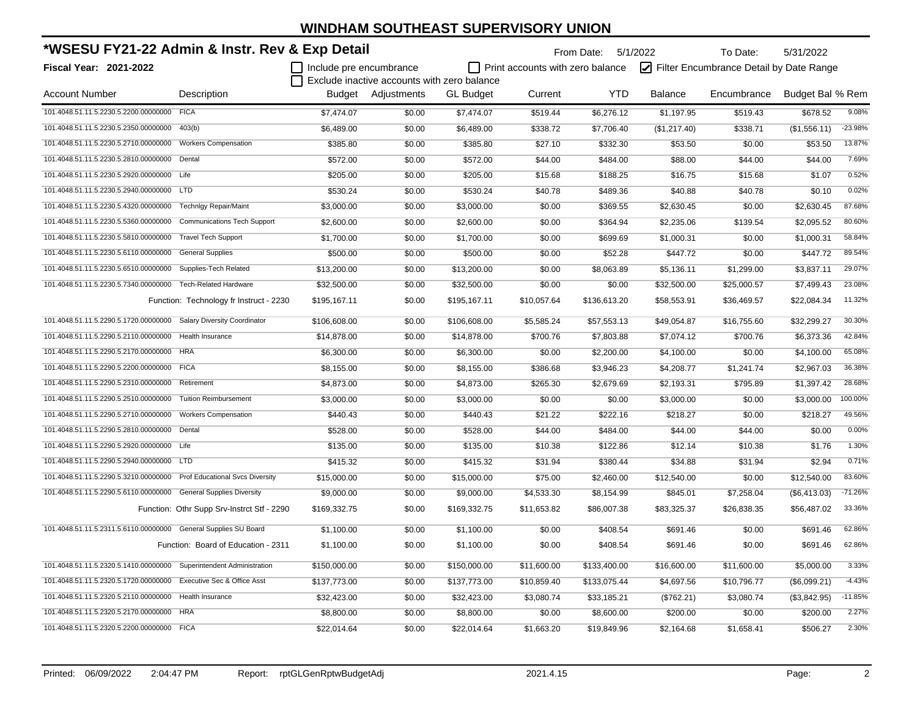| *WSESU FY21-22 Admin & Instr. Rev & Exp Detail                        |                                            |                         |                                             | From Date: 5/1/2022<br>To Date:<br>5/31/2022 |                                         |              |                |                                         |                  |           |
|-----------------------------------------------------------------------|--------------------------------------------|-------------------------|---------------------------------------------|----------------------------------------------|-----------------------------------------|--------------|----------------|-----------------------------------------|------------------|-----------|
| <b>Fiscal Year: 2021-2022</b>                                         |                                            | Include pre encumbrance |                                             |                                              | $\Box$ Print accounts with zero balance |              |                | Filter Encumbrance Detail by Date Range |                  |           |
|                                                                       |                                            |                         | Exclude inactive accounts with zero balance |                                              |                                         |              |                |                                         |                  |           |
| <b>Account Number</b>                                                 | Description                                |                         | Budget Adjustments                          | <b>GL</b> Budget                             | Current                                 | <b>YTD</b>   | <b>Balance</b> | Encumbrance                             | Budget Bal % Rem |           |
| 101.4048.51.11.5.2230.5.2200.00000000 FICA                            |                                            | \$7,474.07              | \$0.00                                      | \$7,474.07                                   | \$519.44                                | \$6,276.12   | \$1,197.95     | \$519.43                                | \$678.52         | 9.08%     |
| 101.4048.51.11.5.2230.5.2350.00000000                                 | 403(b)                                     | \$6,489.00              | \$0.00                                      | \$6,489.00                                   | \$338.72                                | \$7,706.40   | (\$1,217.40)   | \$338.71                                | (\$1,556.11)     | $-23.98%$ |
| 101.4048.51.11.5.2230.5.2710.00000000                                 | <b>Workers Compensation</b>                | \$385.80                | \$0.00                                      | \$385.80                                     | \$27.10                                 | \$332.30     | \$53.50        | \$0.00                                  | \$53.50          | 13.87%    |
| 101.4048.51.11.5.2230.5.2810.00000000                                 | Dental                                     | \$572.00                | \$0.00                                      | \$572.00                                     | \$44.00                                 | \$484.00     | \$88.00        | \$44.00                                 | \$44.00          | 7.69%     |
| 101.4048.51.11.5.2230.5.2920.00000000 Life                            |                                            | \$205.00                | \$0.00                                      | \$205.00                                     | \$15.68                                 | \$188.25     | \$16.75        | \$15.68                                 | \$1.07           | 0.52%     |
| 101.4048.51.11.5.2230.5.2940.00000000 LTD                             |                                            | \$530.24                | \$0.00                                      | \$530.24                                     | \$40.78                                 | \$489.36     | \$40.88        | \$40.78                                 | \$0.10           | 0.02%     |
| 101.4048.51.11.5.2230.5.4320.00000000                                 | <b>Technigy Repair/Maint</b>               | \$3,000.00              | \$0.00                                      | \$3,000.00                                   | \$0.00                                  | \$369.55     | \$2,630.45     | \$0.00                                  | \$2,630.45       | 87.68%    |
| 101.4048.51.11.5.2230.5.5360.00000000                                 | <b>Communications Tech Support</b>         | \$2,600.00              | \$0.00                                      | \$2,600.00                                   | \$0.00                                  | \$364.94     | \$2,235.06     | \$139.54                                | \$2,095.52       | 80.60%    |
| 101.4048.51.11.5.2230.5.5810.00000000                                 | <b>Travel Tech Support</b>                 | \$1,700.00              | \$0.00                                      | \$1,700.00                                   | \$0.00                                  | \$699.69     | \$1,000.31     | \$0.00                                  | \$1,000.31       | 58.84%    |
| 101.4048.51.11.5.2230.5.6110.00000000                                 | <b>General Supplies</b>                    | \$500.00                | \$0.00                                      | \$500.00                                     | \$0.00                                  | \$52.28      | \$447.72       | \$0.00                                  | \$447.72         | 89.54%    |
| 101.4048.51.11.5.2230.5.6510.00000000                                 | Supplies-Tech Related                      | \$13,200.00             | \$0.00                                      | \$13,200.00                                  | \$0.00                                  | \$8,063.89   | \$5,136.11     | \$1,299.00                              | \$3,837.11       | 29.07%    |
| 101.4048.51.11.5.2230.5.7340.00000000                                 | <b>Tech-Related Hardware</b>               | \$32,500.00             | \$0.00                                      | \$32,500.00                                  | \$0.00                                  | \$0.00       | \$32,500.00    | \$25,000.57                             | \$7,499.43       | 23.08%    |
|                                                                       | Function: Technology fr Instruct - 2230    | \$195,167.11            | \$0.00                                      | \$195,167.11                                 | \$10,057.64                             | \$136,613.20 | \$58,553.91    | \$36,469.57                             | \$22,084.34      | 11.32%    |
| 101.4048.51.11.5.2290.5.1720.00000000                                 | <b>Salary Diversity Coordinator</b>        | \$106,608.00            | \$0.00                                      | \$106,608.00                                 | \$5,585.24                              | \$57,553.13  | \$49,054.87    | \$16,755.60                             | \$32,299.27      | 30.30%    |
| 101.4048.51.11.5.2290.5.2110.00000000                                 | <b>Health Insurance</b>                    | \$14,878.00             | \$0.00                                      | \$14,878.00                                  | \$700.76                                | \$7,803.88   | \$7,074.12     | \$700.76                                | \$6,373.36       | 42.84%    |
| 101.4048.51.11.5.2290.5.2170.00000000 HRA                             |                                            | \$6,300.00              | \$0.00                                      | \$6,300.00                                   | \$0.00                                  | \$2,200.00   | \$4,100.00     | \$0.00                                  | \$4,100.00       | 65.08%    |
| 101.4048.51.11.5.2290.5.2200.00000000 FICA                            |                                            | \$8,155.00              | \$0.00                                      | \$8,155.00                                   | \$386.68                                | \$3,946.23   | \$4,208.77     | \$1,241.74                              | \$2,967.03       | 36.38%    |
| 101.4048.51.11.5.2290.5.2310.00000000 Retirement                      |                                            | \$4,873.00              | \$0.00                                      | \$4,873.00                                   | \$265.30                                | \$2,679.69   | \$2,193.31     | \$795.89                                | \$1,397.42       | 28.68%    |
| 101.4048.51.11.5.2290.5.2510.00000000 Tuition Reimbursement           |                                            | \$3,000.00              | \$0.00                                      | \$3,000.00                                   | \$0.00                                  | \$0.00       | \$3,000.00     | \$0.00                                  | \$3,000.00       | 100.00%   |
| 101.4048.51.11.5.2290.5.2710.00000000 Workers Compensation            |                                            | \$440.43                | \$0.00                                      | \$440.43                                     | \$21.22                                 | \$222.16     | \$218.27       | \$0.00                                  | \$218.27         | 49.56%    |
| 101.4048.51.11.5.2290.5.2810.00000000 Dental                          |                                            | \$528.00                | \$0.00                                      | \$528.00                                     | \$44.00                                 | \$484.00     | \$44.00        | \$44.00                                 | \$0.00           | 0.00%     |
| 101.4048.51.11.5.2290.5.2920.00000000 Life                            |                                            | \$135.00                | \$0.00                                      | \$135.00                                     | \$10.38                                 | \$122.86     | \$12.14        | \$10.38                                 | \$1.76           | 1.30%     |
| 101.4048.51.11.5.2290.5.2940.00000000 LTD                             |                                            | \$415.32                | \$0.00                                      | \$415.32                                     | \$31.94                                 | \$380.44     | \$34.88        | \$31.94                                 | \$2.94           | 0.71%     |
| 101.4048.51.11.5.2290.5.3210.00000000 Prof Educational Svcs Diversity |                                            | \$15,000.00             | \$0.00                                      | \$15,000.00                                  | \$75.00                                 | \$2,460.00   | \$12,540.00    | \$0.00                                  | \$12,540.00      | 83.60%    |
| 101.4048.51.11.5.2290.5.6110.00000000 General Supplies Diversity      |                                            | \$9,000.00              | \$0.00                                      | \$9,000.00                                   | \$4,533.30                              | \$8,154.99   | \$845.01       | \$7,258.04                              | (\$6,413.03)     | $-71.26%$ |
|                                                                       | Function: Othr Supp Srv-Instrct Stf - 2290 | \$169,332.75            | \$0.00                                      | \$169,332.75                                 | \$11,653.82                             | \$86,007.38  | \$83,325.37    | \$26,838.35                             | \$56,487.02      | 33.36%    |
| 101.4048.51.11.5.2311.5.6110.00000000 General Supplies SU Board       |                                            | \$1,100.00              | \$0.00                                      | \$1,100.00                                   | \$0.00                                  | \$408.54     | \$691.46       | \$0.00                                  | \$691.46         | 62.86%    |
|                                                                       | Function: Board of Education - 2311        | \$1,100.00              | \$0.00                                      | \$1,100.00                                   | \$0.00                                  | \$408.54     | \$691.46       | \$0.00                                  | \$691.46         | 62.86%    |
| 101.4048.51.11.5.2320.5.1410.00000000 Superintendent Administration   |                                            | \$150,000.00            | \$0.00                                      | \$150,000.00                                 | \$11,600.00                             | \$133,400.00 | \$16,600.00    | \$11,600.00                             | \$5,000.00       | 3.33%     |
| 101.4048.51.11.5.2320.5.1720.00000000 Executive Sec & Office Asst     |                                            | \$137,773.00            | \$0.00                                      | \$137,773.00                                 | \$10,859.40                             | \$133,075.44 | \$4,697.56     | \$10,796.77                             | (\$6,099.21)     | $-4.43%$  |
| 101.4048.51.11.5.2320.5.2110.00000000 Health Insurance                |                                            | \$32,423.00             | \$0.00                                      | \$32,423.00                                  | \$3,080.74                              | \$33,185.21  | (\$762.21)     | \$3,080.74                              | (\$3,842.95)     | $-11.85%$ |
| 101.4048.51.11.5.2320.5.2170.00000000                                 | <b>HRA</b>                                 | \$8,800.00              | \$0.00                                      | \$8,800.00                                   | \$0.00                                  | \$8,600.00   | \$200.00       | \$0.00                                  | \$200.00         | 2.27%     |
| 101.4048.51.11.5.2320.5.2200.00000000 FICA                            |                                            | \$22,014.64             | \$0.00                                      | \$22,014.64                                  | \$1,663.20                              | \$19,849.96  | \$2,164.68     | \$1,658.41                              | \$506.27         | 2.30%     |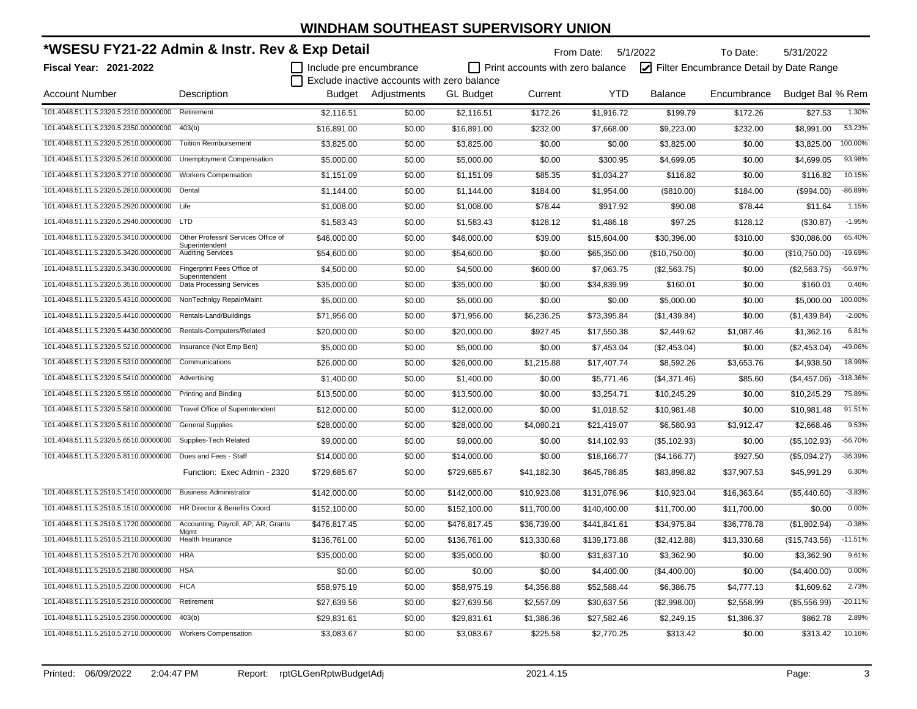| *WSESU FY21-22 Admin & Instr. Rev & Exp Detail             |                                                      |                         |                                             | From Date: 5/1/2022<br>To Date: |                                  |              |                |                                         | 5/31/2022        |           |  |
|------------------------------------------------------------|------------------------------------------------------|-------------------------|---------------------------------------------|---------------------------------|----------------------------------|--------------|----------------|-----------------------------------------|------------------|-----------|--|
| <b>Fiscal Year: 2021-2022</b>                              |                                                      | Include pre encumbrance | Exclude inactive accounts with zero balance |                                 | Print accounts with zero balance |              |                | Filter Encumbrance Detail by Date Range |                  |           |  |
| <b>Account Number</b>                                      | Description                                          |                         | <b>Budget</b> Adiustments                   | <b>GL Budget</b>                | Current                          | <b>YTD</b>   | <b>Balance</b> | Encumbrance                             | Budget Bal % Rem |           |  |
| 101.4048.51.11.5.2320.5.2310.00000000                      | Retirement                                           | \$2,116.51              | \$0.00                                      | \$2,116.51                      | \$172.26                         | \$1,916.72   | \$199.79       | \$172.26                                | \$27.53          | 1.30%     |  |
| 101.4048.51.11.5.2320.5.2350.00000000                      | 403(b)                                               | \$16,891.00             | \$0.00                                      | \$16,891.00                     | \$232.00                         | \$7,668.00   | \$9,223.00     | \$232.00                                | \$8,991.00       | 53.23%    |  |
| 101.4048.51.11.5.2320.5.2510.00000000                      | <b>Tuition Reimbursement</b>                         | \$3,825.00              | \$0.00                                      | \$3,825.00                      | \$0.00                           | \$0.00       | \$3,825.00     | \$0.00                                  | \$3,825.00       | 100.00%   |  |
| 101.4048.51.11.5.2320.5.2610.00000000                      | Unemployment Compensation                            | \$5,000.00              | \$0.00                                      | \$5,000.00                      | \$0.00                           | \$300.95     | \$4,699.05     | \$0.00                                  | \$4,699.05       | 93.98%    |  |
| 101.4048.51.11.5.2320.5.2710.00000000                      | <b>Workers Compensation</b>                          | \$1,151.09              | \$0.00                                      | \$1,151.09                      | \$85.35                          | \$1,034.27   | \$116.82       | \$0.00                                  | \$116.82         | 10.15%    |  |
| 101.4048.51.11.5.2320.5.2810.00000000                      | Dental                                               | \$1,144.00              | \$0.00                                      | \$1,144.00                      | \$184.00                         | \$1,954.00   | (\$810.00)     | \$184.00                                | (\$994.00)       | $-86.89%$ |  |
| 101.4048.51.11.5.2320.5.2920.00000000 Life                 |                                                      | \$1.008.00              | \$0.00                                      | \$1,008.00                      | \$78.44                          | \$917.92     | \$90.08        | \$78.44                                 | \$11.64          | 1.15%     |  |
| 101.4048.51.11.5.2320.5.2940.00000000 LTD                  |                                                      | \$1,583.43              | \$0.00                                      | \$1,583.43                      | \$128.12                         | \$1,486.18   | \$97.25        | \$128.12                                | (\$30.87)        | $-1.95%$  |  |
| 101.4048.51.11.5.2320.5.3410.00000000                      | Other Professnl Services Office of<br>Superintendent | \$46,000.00             | \$0.00                                      | \$46,000.00                     | \$39.00                          | \$15,604.00  | \$30,396.00    | \$310.00                                | \$30,086.00      | 65.40%    |  |
| 101.4048.51.11.5.2320.5.3420.00000000                      | <b>Auditing Services</b>                             | \$54,600.00             | \$0.00                                      | \$54,600.00                     | \$0.00                           | \$65,350.00  | (\$10,750.00)  | \$0.00                                  | (\$10,750.00)    | $-19.69%$ |  |
| 101.4048.51.11.5.2320.5.3430.00000000                      | Fingerprint Fees Office of                           | \$4,500.00              | \$0.00                                      | \$4,500.00                      | \$600.00                         | \$7,063.75   | (\$2,563.75)   | \$0.00                                  | (\$2,563.75)     | $-56.97%$ |  |
| 101.4048.51.11.5.2320.5.3510.00000000                      | Superintendent<br><b>Data Processing Services</b>    | \$35,000.00             | \$0.00                                      | \$35,000.00                     | \$0.00                           | \$34,839.99  | \$160.01       | \$0.00                                  | \$160.01         | 0.46%     |  |
| 101.4048.51.11.5.2320.5.4310.00000000                      | NonTechnIgy Repair/Maint                             | \$5,000.00              | \$0.00                                      | \$5,000.00                      | \$0.00                           | \$0.00       | \$5,000.00     | \$0.00                                  | \$5,000.00       | 100.00%   |  |
| 101.4048.51.11.5.2320.5.4410.00000000                      | Rentals-Land/Buildings                               | \$71,956.00             | \$0.00                                      | \$71,956.00                     | \$6,236.25                       | \$73,395.84  | (\$1,439.84)   | \$0.00                                  | (\$1,439.84)     | $-2.00%$  |  |
| 101.4048.51.11.5.2320.5.4430.00000000                      | Rentals-Computers/Related                            | \$20,000.00             | \$0.00                                      | \$20,000.00                     | \$927.45                         | \$17,550.38  | \$2,449.62     | \$1,087.46                              | \$1,362.16       | 6.81%     |  |
| 101.4048.51.11.5.2320.5.5210.00000000                      | Insurance (Not Emp Ben)                              | \$5,000.00              | \$0.00                                      | \$5,000.00                      | \$0.00                           | \$7,453.04   | (\$2,453.04)   | \$0.00                                  | (\$2,453.04)     | -49.06%   |  |
| 101.4048.51.11.5.2320.5.5310.00000000                      | Communications                                       | \$26,000.00             | \$0.00                                      | \$26,000.00                     | \$1,215.88                       | \$17,407.74  | \$8,592.26     | \$3,653.76                              | \$4,938.50       | 18.99%    |  |
| 101.4048.51.11.5.2320.5.5410.00000000                      | Advertising                                          | \$1,400.00              | \$0.00                                      | \$1,400.00                      | \$0.00                           | \$5,771.46   | (\$4,371.46)   | \$85.60                                 | (\$4,457.06)     | -318.36%  |  |
| 101.4048.51.11.5.2320.5.5510.00000000                      | <b>Printing and Binding</b>                          | \$13,500.00             | \$0.00                                      | \$13,500.00                     | \$0.00                           | \$3,254.71   | \$10,245.29    | \$0.00                                  | \$10,245.29      | 75.89%    |  |
| 101.4048.51.11.5.2320.5.5810.00000000                      | <b>Travel Office of Superintendent</b>               | \$12,000.00             | \$0.00                                      | \$12,000.00                     | \$0.00                           | \$1,018.52   | \$10,981.48    | \$0.00                                  | \$10,981.48      | 91.51%    |  |
| 101.4048.51.11.5.2320.5.6110.00000000                      | <b>General Supplies</b>                              | \$28,000.00             | \$0.00                                      | \$28,000.00                     | \$4,080.21                       | \$21,419.07  | \$6,580.93     | \$3,912.47                              | \$2,668.46       | 9.53%     |  |
| 101.4048.51.11.5.2320.5.6510.00000000                      | Supplies-Tech Related                                | \$9,000.00              | \$0.00                                      | \$9,000.00                      | \$0.00                           | \$14,102.93  | (\$5,102.93)   | \$0.00                                  | (\$5,102.93)     | $-56.70%$ |  |
| 101.4048.51.11.5.2320.5.8110.00000000                      | Dues and Fees - Staff                                | \$14,000.00             | \$0.00                                      | \$14,000.00                     | \$0.00                           | \$18,166.77  | (\$4,166.77)   | \$927.50                                | (\$5,094.27)     | $-36.39%$ |  |
|                                                            | Function: Exec Admin - 2320                          | \$729,685.67            | \$0.00                                      | \$729,685.67                    | \$41,182.30                      | \$645,786.85 | \$83,898.82    | \$37,907.53                             | \$45,991.29      | 6.30%     |  |
| 101.4048.51.11.5.2510.5.1410.00000000                      | <b>Business Administrator</b>                        | \$142,000.00            | \$0.00                                      | \$142,000.00                    | \$10,923.08                      | \$131,076.96 | \$10,923.04    | \$16,363.64                             | (\$5,440.60)     | $-3.83%$  |  |
| 101.4048.51.11.5.2510.5.1510.00000000                      | HR Director & Benefits Coord                         | \$152,100.00            | \$0.00                                      | \$152,100.00                    | \$11,700.00                      | \$140,400.00 | \$11,700.00    | \$11,700.00                             | \$0.00           | 0.00%     |  |
| 101.4048.51.11.5.2510.5.1720.00000000                      | Accounting, Payroll, AP, AR, Grants                  | \$476,817.45            | \$0.00                                      | \$476,817.45                    | \$36,739.00                      | \$441,841.61 | \$34,975.84    | \$36,778.78                             | (\$1,802.94)     | $-0.38%$  |  |
| 101.4048.51.11.5.2510.5.2110.00000000                      | Mgmt<br>Health Insurance                             | \$136,761.00            | \$0.00                                      | \$136,761.00                    | \$13,330.68                      | \$139,173.88 | (\$2,412.88)   | \$13,330.68                             | (\$15,743.56)    | $-11.51%$ |  |
| 101.4048.51.11.5.2510.5.2170.00000000                      | <b>HRA</b>                                           | \$35,000.00             | \$0.00                                      | \$35,000.00                     | \$0.00                           | \$31,637.10  | \$3,362.90     | \$0.00                                  | \$3,362.90       | 9.61%     |  |
| 101.4048.51.11.5.2510.5.2180.00000000 HSA                  |                                                      | \$0.00                  | \$0.00                                      | \$0.00                          | \$0.00                           | \$4,400.00   | (\$4,400.00)   | \$0.00                                  | (\$4,400.00)     | 0.00%     |  |
| 101.4048.51.11.5.2510.5.2200.00000000 FICA                 |                                                      | \$58,975.19             | \$0.00                                      | \$58,975.19                     | \$4,356.88                       | \$52,588.44  | \$6,386.75     | \$4,777.13                              | \$1,609.62       | 2.73%     |  |
| 101.4048.51.11.5.2510.5.2310.00000000                      | Retirement                                           | \$27,639.56             | \$0.00                                      | \$27,639.56                     | \$2,557.09                       | \$30,637.56  | (\$2,998.00)   | \$2,558.99                              | (\$5,556.99)     | $-20.11%$ |  |
| 101.4048.51.11.5.2510.5.2350.00000000                      | 403(b)                                               | \$29,831.61             | \$0.00                                      | \$29,831.61                     | \$1,386.36                       | \$27,582.46  | \$2,249.15     | \$1,386.37                              | \$862.78         | 2.89%     |  |
| 101.4048.51.11.5.2510.5.2710.00000000 Workers Compensation |                                                      | \$3,083.67              | \$0.00                                      | \$3,083.67                      | \$225.58                         | \$2,770.25   | \$313.42       | \$0.00                                  | \$313.42         | 10.16%    |  |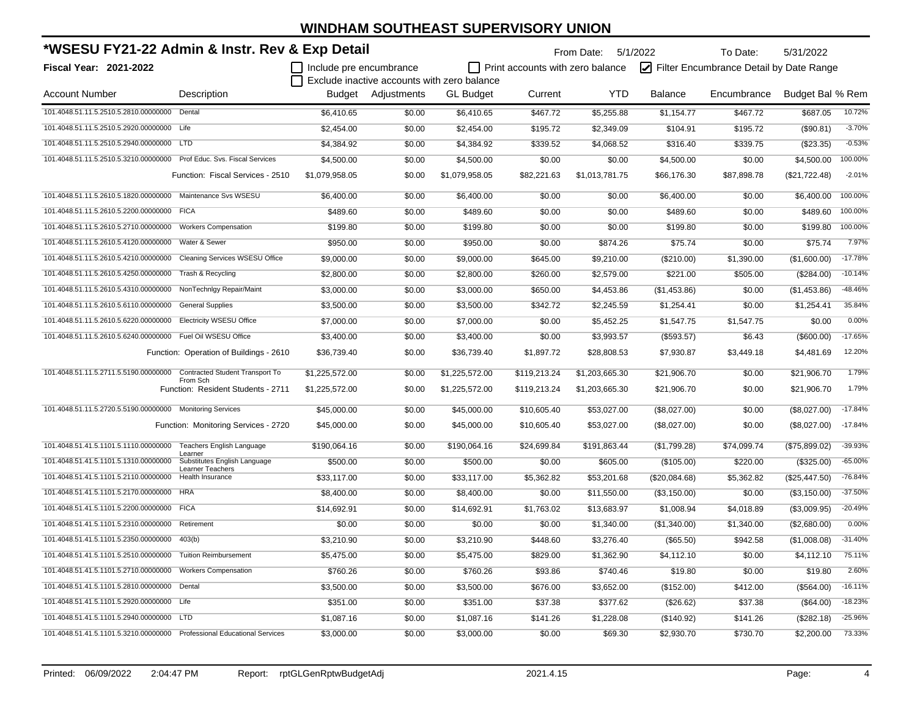| *WSESU FY21-22 Admin & Instr. Rev & Exp Detail                          |                                                |                                                                        |                    | From Date: 5/1/2022<br>To Date:<br>5/31/2022 |                                  |                |                |                                         |                  |           |
|-------------------------------------------------------------------------|------------------------------------------------|------------------------------------------------------------------------|--------------------|----------------------------------------------|----------------------------------|----------------|----------------|-----------------------------------------|------------------|-----------|
| <b>Fiscal Year: 2021-2022</b>                                           |                                                | Include pre encumbrance<br>Exclude inactive accounts with zero balance |                    |                                              | Print accounts with zero balance |                |                | Filter Encumbrance Detail by Date Range |                  |           |
| <b>Account Number</b>                                                   | Description                                    |                                                                        | Budget Adjustments | <b>GL Budget</b>                             | Current                          | <b>YTD</b>     | <b>Balance</b> | Encumbrance                             | Budget Bal % Rem |           |
| 101.4048.51.11.5.2510.5.2810.00000000                                   | Dental                                         | \$6,410.65                                                             | \$0.00             | \$6,410.65                                   | \$467.72                         | \$5,255.88     | \$1,154.77     | \$467.72                                | \$687.05         | 10.72%    |
| 101.4048.51.11.5.2510.5.2920.00000000                                   | Life                                           | \$2,454.00                                                             | \$0.00             | \$2,454.00                                   | \$195.72                         | \$2,349.09     | \$104.91       | \$195.72                                | (\$90.81)        | $-3.70%$  |
| 101.4048.51.11.5.2510.5.2940.00000000                                   | <b>LTD</b>                                     | \$4,384.92                                                             | \$0.00             | \$4,384.92                                   | \$339.52                         | \$4,068.52     | \$316.40       | \$339.75                                | (\$23.35)        | $-0.53%$  |
| 101.4048.51.11.5.2510.5.3210.00000000                                   | Prof Educ. Svs. Fiscal Services                | \$4,500.00                                                             | \$0.00             | \$4,500.00                                   | \$0.00                           | \$0.00         | \$4,500.00     | \$0.00                                  | \$4,500.00       | 100.00%   |
|                                                                         | Function: Fiscal Services - 2510               | \$1,079,958.05                                                         | \$0.00             | \$1,079,958.05                               | \$82,221.63                      | \$1,013,781.75 | \$66,176.30    | \$87,898.78                             | (\$21,722.48)    | $-2.01%$  |
| 101.4048.51.11.5.2610.5.1820.00000000                                   | Maintenance Svs WSESU                          | \$6,400.00                                                             | \$0.00             | \$6,400.00                                   | \$0.00                           | \$0.00         | \$6,400.00     | \$0.00                                  | \$6,400.00       | 100.00%   |
| 101.4048.51.11.5.2610.5.2200.00000000                                   | <b>FICA</b>                                    | \$489.60                                                               | \$0.00             | \$489.60                                     | \$0.00                           | \$0.00         | \$489.60       | \$0.00                                  | \$489.60         | 100.00%   |
| 101.4048.51.11.5.2610.5.2710.00000000                                   | <b>Workers Compensation</b>                    | \$199.80                                                               | \$0.00             | \$199.80                                     | \$0.00                           | \$0.00         | \$199.80       | \$0.00                                  | \$199.80         | 100.00%   |
| 101.4048.51.11.5.2610.5.4120.00000000                                   | Water & Sewer                                  | \$950.00                                                               | \$0.00             | \$950.00                                     | \$0.00                           | \$874.26       | \$75.74        | \$0.00                                  | \$75.74          | 7.97%     |
| 101.4048.51.11.5.2610.5.4210.00000000 Cleaning Services WSESU Office    |                                                | \$9,000.00                                                             | \$0.00             | \$9,000.00                                   | \$645.00                         | \$9,210.00     | (\$210.00)     | \$1,390.00                              | (\$1,600.00)     | $-17.78%$ |
| 101.4048.51.11.5.2610.5.4250.00000000 Trash & Recycling                 |                                                | \$2,800.00                                                             | \$0.00             | \$2,800.00                                   | \$260.00                         | \$2,579.00     | \$221.00       | \$505.00                                | (\$284.00)       | $-10.14%$ |
| 101.4048.51.11.5.2610.5.4310.00000000 NonTechnIgy Repair/Maint          |                                                | \$3,000.00                                                             | \$0.00             | \$3,000.00                                   | \$650.00                         | \$4,453.86     | (\$1,453.86)   | \$0.00                                  | (\$1,453.86)     | -48.46%   |
| 101.4048.51.11.5.2610.5.6110.00000000                                   | <b>General Supplies</b>                        | \$3,500.00                                                             | \$0.00             | \$3,500.00                                   | \$342.72                         | \$2,245.59     | \$1,254.41     | \$0.00                                  | \$1,254.41       | 35.84%    |
| 101.4048.51.11.5.2610.5.6220.00000000                                   | <b>Electricity WSESU Office</b>                | \$7,000.00                                                             | \$0.00             | \$7,000.00                                   | \$0.00                           | \$5,452.25     | \$1,547.75     | \$1,547.75                              | \$0.00           | 0.00%     |
| 101.4048.51.11.5.2610.5.6240.00000000                                   | Fuel Oil WSESU Office                          | \$3,400.00                                                             | \$0.00             | \$3,400.00                                   | \$0.00                           | \$3,993.57     | (\$593.57)     | \$6.43                                  | (\$600.00)       | $-17.65%$ |
|                                                                         | Function: Operation of Buildings - 2610        | \$36,739.40                                                            | \$0.00             | \$36,739.40                                  | \$1,897.72                       | \$28,808.53    | \$7,930.87     | \$3,449.18                              | \$4,481.69       | 12.20%    |
| 101.4048.51.11.5.2711.5.5190.00000000 Contracted Student Transport To   |                                                | \$1,225,572.00                                                         | \$0.00             | \$1,225,572.00                               | \$119,213.24                     | \$1,203,665.30 | \$21,906.70    | \$0.00                                  | \$21,906.70      | 1.79%     |
|                                                                         | From Sch<br>Function: Resident Students - 2711 | \$1,225,572.00                                                         | \$0.00             | \$1,225,572.00                               | \$119,213.24                     | \$1,203,665.30 | \$21,906.70    | \$0.00                                  | \$21,906.70      | 1.79%     |
| 101.4048.51.11.5.2720.5.5190.00000000 Monitoring Services               |                                                | \$45,000.00                                                            | \$0.00             | \$45,000.00                                  | \$10,605.40                      | \$53,027.00    | (\$8,027.00)   | \$0.00                                  | (\$8,027.00)     | $-17.84%$ |
|                                                                         | Function: Monitoring Services - 2720           | \$45,000.00                                                            | \$0.00             | \$45,000.00                                  | \$10,605.40                      | \$53,027.00    | (\$8,027.00)   | \$0.00                                  | (\$8,027.00)     | $-17.84%$ |
| 101.4048.51.41.5.1101.5.1110.00000000                                   | Teachers English Language                      | \$190,064.16                                                           | \$0.00             | \$190,064.16                                 | \$24,699.84                      | \$191,863.44   | (\$1,799.28)   | \$74,099.74                             | (\$75,899.02)    | $-39.93%$ |
| 101.4048.51.41.5.1101.5.1310.00000000                                   | Learner<br>Substitutes English Language        | \$500.00                                                               | \$0.00             | \$500.00                                     | \$0.00                           | \$605.00       | (\$105.00)     | \$220.00                                | (\$325.00)       | $-65.00%$ |
| 101.4048.51.41.5.1101.5.2110.00000000                                   | <b>Learner Teachers</b><br>Health Insurance    | \$33,117.00                                                            | \$0.00             | \$33,117.00                                  | \$5,362.82                       | \$53,201.68    | (\$20,084.68)  | \$5,362.82                              | (\$25,447.50)    | $-76.84%$ |
| 101.4048.51.41.5.1101.5.2170.00000000 HRA                               |                                                | \$8,400.00                                                             | \$0.00             | \$8,400.00                                   | \$0.00                           | \$11,550.00    | (\$3,150.00)   | \$0.00                                  | (\$3,150.00)     | $-37.50%$ |
| 101.4048.51.41.5.1101.5.2200.00000000 FICA                              |                                                | \$14,692.91                                                            | \$0.00             | \$14,692.91                                  | \$1,763.02                       | \$13,683.97    | \$1,008.94     | \$4,018.89                              | (\$3,009.95)     | $-20.49%$ |
| 101.4048.51.41.5.1101.5.2310.00000000                                   | Retirement                                     | \$0.00                                                                 | \$0.00             | \$0.00                                       | \$0.00                           | \$1,340.00     | (\$1,340.00)   | \$1,340.00                              | (\$2,680.00)     | 0.00%     |
| 101.4048.51.41.5.1101.5.2350.00000000                                   | 403(b)                                         | \$3,210.90                                                             | \$0.00             | \$3,210.90                                   | \$448.60                         | \$3,276.40     | (\$65.50)      | \$942.58                                | (\$1,008.08)     | $-31.40%$ |
| 101.4048.51.41.5.1101.5.2510.00000000                                   | <b>Tuition Reimbursement</b>                   | \$5,475.00                                                             | \$0.00             | \$5,475.00                                   | \$829.00                         | \$1,362.90     | \$4,112.10     | \$0.00                                  | \$4,112.10       | 75.11%    |
| 101.4048.51.41.5.1101.5.2710.00000000 Workers Compensation              |                                                | \$760.26                                                               | \$0.00             | \$760.26                                     | \$93.86                          | \$740.46       | \$19.80        | \$0.00                                  | \$19.80          | 2.60%     |
| 101.4048.51.41.5.1101.5.2810.00000000 Dental                            |                                                | \$3,500.00                                                             | \$0.00             | \$3,500.00                                   | \$676.00                         | \$3,652.00     | (\$152.00)     | \$412.00                                | (\$564.00)       | $-16.11%$ |
| 101.4048.51.41.5.1101.5.2920.00000000 Life                              |                                                | \$351.00                                                               | \$0.00             | \$351.00                                     | \$37.38                          | \$377.62       | (\$26.62)      | \$37.38                                 | (\$64.00)        | $-18.23%$ |
| 101.4048.51.41.5.1101.5.2940.00000000 LTD                               |                                                | \$1,087.16                                                             | \$0.00             | \$1,087.16                                   | \$141.26                         | \$1,228.08     | (\$140.92)     | \$141.26                                | (\$282.18)       | $-25.96%$ |
| 101.4048.51.41.5.1101.5.3210.00000000 Professional Educational Services |                                                | \$3,000.00                                                             | \$0.00             | \$3,000.00                                   | \$0.00                           | \$69.30        | \$2,930.70     | \$730.70                                | \$2,200.00       | 73.33%    |